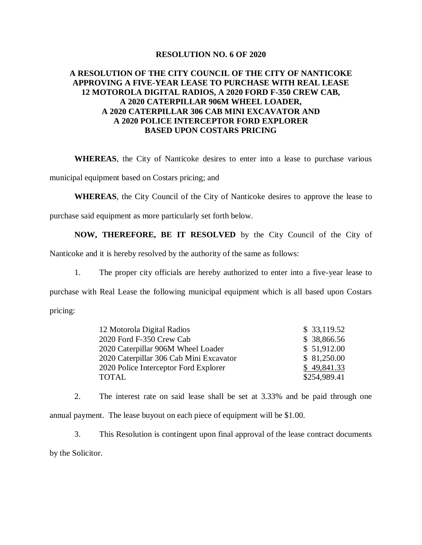## **RESOLUTION NO. 6 OF 2020**

## **A RESOLUTION OF THE CITY COUNCIL OF THE CITY OF NANTICOKE APPROVING A FIVE-YEAR LEASE TO PURCHASE WITH REAL LEASE 12 MOTOROLA DIGITAL RADIOS, A 2020 FORD F-350 CREW CAB, A 2020 CATERPILLAR 906M WHEEL LOADER, A 2020 CATERPILLAR 306 CAB MINI EXCAVATOR AND A 2020 POLICE INTERCEPTOR FORD EXPLORER BASED UPON COSTARS PRICING**

**WHEREAS**, the City of Nanticoke desires to enter into a lease to purchase various

municipal equipment based on Costars pricing; and

**WHEREAS**, the City Council of the City of Nanticoke desires to approve the lease to

purchase said equipment as more particularly set forth below.

**NOW, THEREFORE, BE IT RESOLVED** by the City Council of the City of

Nanticoke and it is hereby resolved by the authority of the same as follows:

1. The proper city officials are hereby authorized to enter into a five-year lease to purchase with Real Lease the following municipal equipment which is all based upon Costars pricing:

| 12 Motorola Digital Radios              | \$33,119.52  |
|-----------------------------------------|--------------|
| 2020 Ford F-350 Crew Cab                | \$38,866.56  |
| 2020 Caterpillar 906M Wheel Loader      | \$51,912.00  |
| 2020 Caterpillar 306 Cab Mini Excavator | \$81,250.00  |
| 2020 Police Interceptor Ford Explorer   | \$49,841.33  |
| <b>TOTAL</b>                            | \$254,989.41 |

2. The interest rate on said lease shall be set at 3.33% and be paid through one annual payment. The lease buyout on each piece of equipment will be \$1.00.

3. This Resolution is contingent upon final approval of the lease contract documents by the Solicitor.